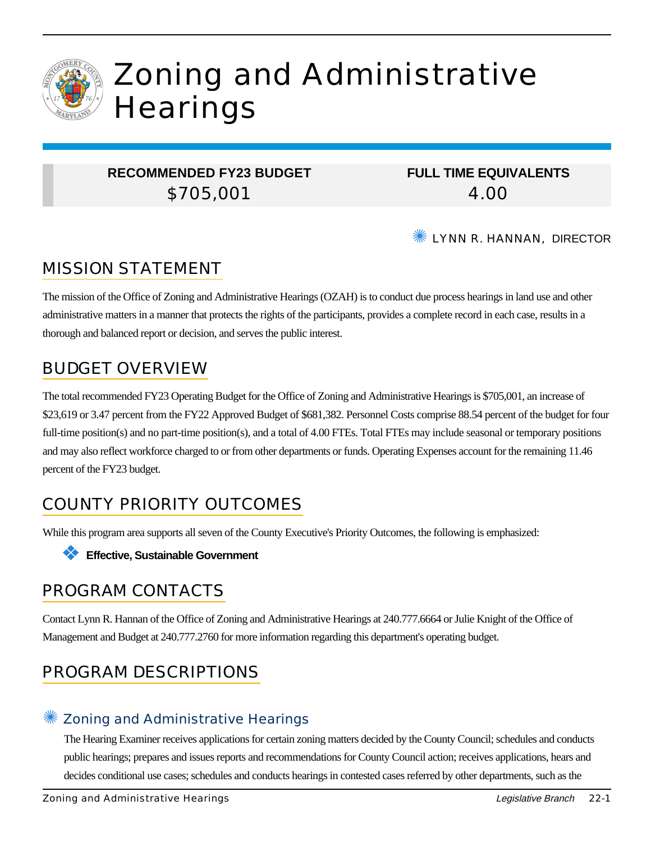

# Zoning and Administrative **Hearings**

### **RECOMMENDED FY23 BUDGET** \$705,001

**FULL TIME EQUIVALENTS** 4.00

**WE LYNN R. HANNAN, DIRECTOR** 

## MISSION STATEMENT

The mission of the Office of Zoning and Administrative Hearings (OZAH) is to conduct due process hearings in land use and other administrative matters in a manner that protects the rights of the participants, provides a complete record in each case, results in a thorough and balanced report or decision, and serves the public interest.

### BUDGET OVERVIEW

The total recommended FY23 Operating Budget for the Office of Zoning and Administrative Hearings is \$705,001, an increase of \$23,619 or 3.47 percent from the FY22 Approved Budget of \$681,382. Personnel Costs comprise 88.54 percent of the budget for four full-time position(s) and no part-time position(s), and a total of 4.00 FTEs. Total FTEs may include seasonal or temporary positions and may also reflect workforce charged to or from other departments or funds. Operating Expenses account for the remaining 11.46 percent of the FY23 budget.

# COUNTY PRIORITY OUTCOMES

While this program area supports all seven of the County Executive's Priority Outcomes, the following is emphasized:

❖ **Effective, Sustainable Government**

### PROGRAM CONTACTS

Contact Lynn R. Hannan of the Office of Zoning and Administrative Hearings at 240.777.6664 or Julie Knight of the Office of Management and Budget at 240.777.2760 for more information regarding this department's operating budget.

# PROGRAM DESCRIPTIONS

### ✺ Zoning and Administrative Hearings

The Hearing Examiner receives applications for certain zoning matters decided by the County Council; schedules and conducts public hearings; prepares and issues reports and recommendations for County Council action; receives applications, hears and decides conditional use cases; schedules and conducts hearings in contested cases referred by other departments, such as the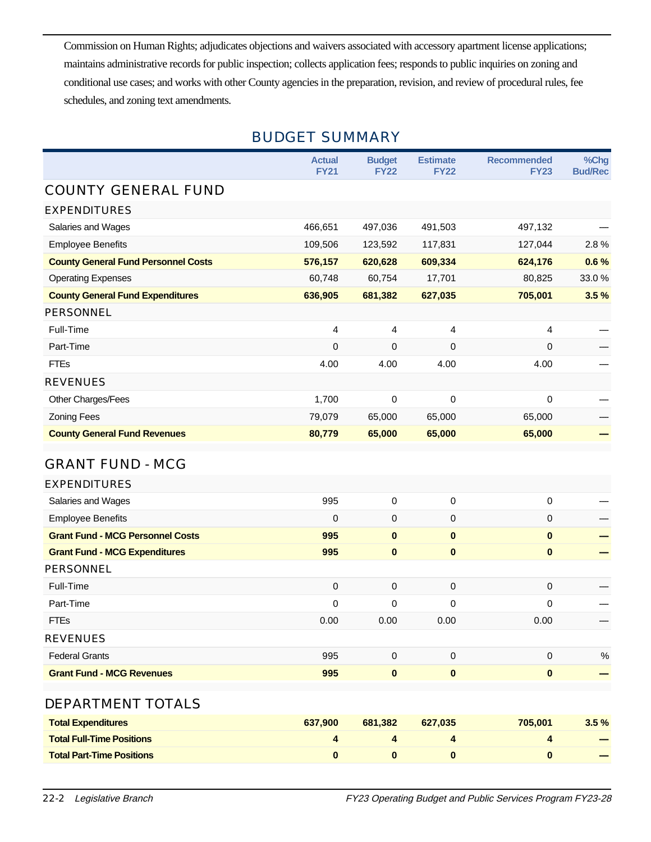Commission on Human Rights; adjudicates objections and waivers associated with accessory apartment license applications; maintains administrative records for public inspection; collects application fees; responds to public inquiries on zoning and conditional use cases; and works with other County agencies in the preparation, revision, and review of procedural rules, fee schedules, and zoning text amendments.

|                                            | <b>Actual</b><br><b>FY21</b> | <b>Budget</b><br><b>FY22</b> | <b>Estimate</b><br><b>FY22</b> | <b>Recommended</b><br><b>FY23</b> | %Chg<br><b>Bud/Rec</b> |  |
|--------------------------------------------|------------------------------|------------------------------|--------------------------------|-----------------------------------|------------------------|--|
| <b>COUNTY GENERAL FUND</b>                 |                              |                              |                                |                                   |                        |  |
| <b>EXPENDITURES</b>                        |                              |                              |                                |                                   |                        |  |
| Salaries and Wages                         | 466,651                      | 497,036                      | 491,503                        | 497,132                           |                        |  |
| <b>Employee Benefits</b>                   | 109,506                      | 123,592                      | 117,831                        | 127,044                           | 2.8%                   |  |
| <b>County General Fund Personnel Costs</b> | 576,157                      | 620,628                      | 609,334                        | 624,176                           | 0.6%                   |  |
| <b>Operating Expenses</b>                  | 60,748                       | 60,754                       | 17,701                         | 80,825                            | 33.0%                  |  |
| <b>County General Fund Expenditures</b>    | 636,905                      | 681,382                      | 627,035                        | 705,001                           | 3.5%                   |  |
| PERSONNEL                                  |                              |                              |                                |                                   |                        |  |
| Full-Time                                  | $\overline{4}$               | 4                            | 4                              | 4                                 |                        |  |
| Part-Time                                  | 0                            | 0                            | 0                              | 0                                 |                        |  |
| <b>FTEs</b>                                | 4.00                         | 4.00                         | 4.00                           | 4.00                              |                        |  |
| <b>REVENUES</b>                            |                              |                              |                                |                                   |                        |  |
| Other Charges/Fees                         | 1,700                        | 0                            | $\Omega$                       | 0                                 |                        |  |
| <b>Zoning Fees</b>                         | 79,079                       | 65,000                       | 65,000                         | 65,000                            |                        |  |
| <b>County General Fund Revenues</b>        | 80,779                       | 65,000                       | 65,000                         | 65,000                            |                        |  |
| <b>GRANT FUND - MCG</b>                    |                              |                              |                                |                                   |                        |  |
| <b>EXPENDITURES</b>                        |                              |                              |                                |                                   |                        |  |
| Salaries and Wages                         | 995                          | 0                            | 0                              | 0                                 |                        |  |
| <b>Employee Benefits</b>                   | 0                            | 0                            | 0                              | $\pmb{0}$                         |                        |  |
| <b>Grant Fund - MCG Personnel Costs</b>    | 995                          | $\bf{0}$                     | $\mathbf{0}$                   | $\mathbf{0}$                      |                        |  |
| <b>Grant Fund - MCG Expenditures</b>       | 995                          | $\bf{0}$                     | $\bf{0}$                       | $\mathbf{0}$                      |                        |  |
| PERSONNEL                                  |                              |                              |                                |                                   |                        |  |
| Full-Time                                  | $\pmb{0}$                    | 0                            | $\mathbf 0$                    | $\mathbf 0$                       |                        |  |
| Part-Time                                  | 0                            | 0                            | 0                              | $\mathbf 0$                       |                        |  |
| <b>FTEs</b>                                | 0.00                         | 0.00                         | 0.00                           | 0.00                              |                        |  |
| <b>REVENUES</b>                            |                              |                              |                                |                                   |                        |  |
| <b>Federal Grants</b>                      | 995                          | 0                            | $\mathbf 0$                    | 0                                 | $\%$                   |  |
| <b>Grant Fund - MCG Revenues</b>           | 995                          | 0                            | $\bf{0}$                       | $\bf{0}$                          |                        |  |
| DEPARTMENT TOTALS                          |                              |                              |                                |                                   |                        |  |

| <b>Total Expenditures</b>        | 637.900 | 681.382 | 627.035 | 705,001 | $3.5 \%$ |
|----------------------------------|---------|---------|---------|---------|----------|
| <b>Total Full-Time Positions</b> |         |         |         |         |          |
| <b>Total Part-Time Positions</b> |         |         |         |         |          |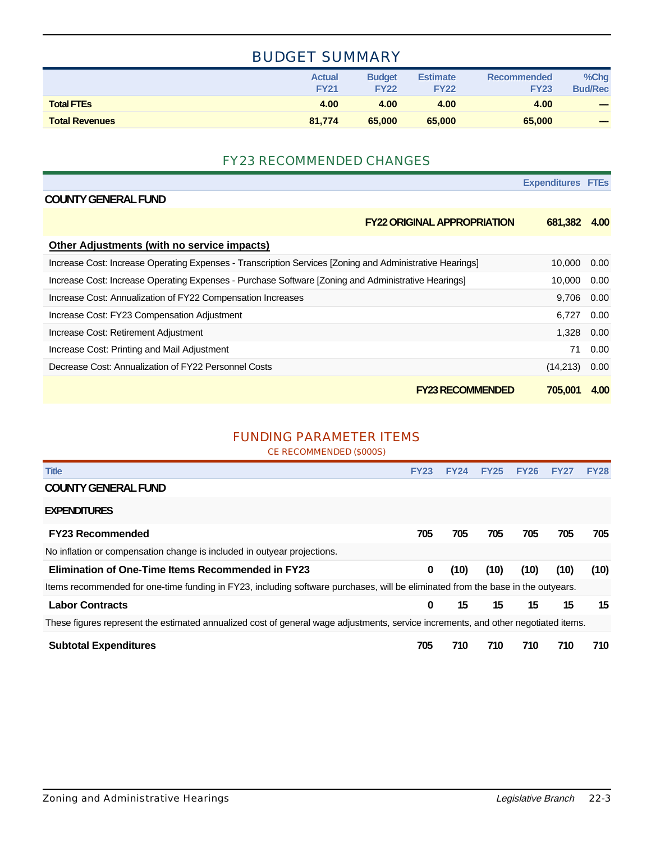### BUDGET SUMMARY

|                       | <b>Actual</b><br><b>FY21</b> | <b>Budget</b><br><b>FY22</b> | <b>Estimate</b><br><b>FY22</b> | Recommended<br><b>FY23</b> | %Chg<br><b>Bud/Rec</b>   |
|-----------------------|------------------------------|------------------------------|--------------------------------|----------------------------|--------------------------|
| <b>Total FTES</b>     | 4.00                         | 4.00                         | 4.00                           | 4.00                       | $\overline{\phantom{a}}$ |
| <b>Total Revenues</b> | 81.774                       | 65,000                       | 65,000                         | 65,000                     | -                        |

#### FY23 RECOMMENDED CHANGES

|                                                                                                          | <b>Expenditures FTEs</b> |      |
|----------------------------------------------------------------------------------------------------------|--------------------------|------|
| <b>COUNTY GENERAL FUND</b>                                                                               |                          |      |
| <b>FY22 ORIGINAL APPROPRIATION</b>                                                                       | 681,382                  | 4.00 |
| Other Adjustments (with no service impacts)                                                              |                          |      |
| Increase Cost: Increase Operating Expenses - Transcription Services [Zoning and Administrative Hearings] | 10,000                   | 0.00 |
| Increase Cost: Increase Operating Expenses - Purchase Software [Zoning and Administrative Hearings]      | 10,000                   | 0.00 |
| Increase Cost: Annualization of FY22 Compensation Increases                                              | 9,706                    | 0.00 |
| Increase Cost: FY23 Compensation Adjustment                                                              | 6.727                    | 0.00 |
| Increase Cost: Retirement Adjustment                                                                     | 1,328                    | 0.00 |
| Increase Cost: Printing and Mail Adjustment                                                              | 71                       | 0.00 |
| Decrease Cost: Annualization of FY22 Personnel Costs                                                     | (14,213)                 | 0.00 |
| <b>FY23 RECOMMENDED</b>                                                                                  | 705.001                  | 4.00 |

#### FUNDING PARAMETER ITEMS

CE RECOMMENDED (\$000S)

| <b>Title</b>                                                                                                                       | <b>FY23</b> | <b>FY24</b> | <b>FY25</b> | <b>FY26</b> | <b>FY27</b> | <b>FY28</b> |  |
|------------------------------------------------------------------------------------------------------------------------------------|-------------|-------------|-------------|-------------|-------------|-------------|--|
| <b>COUNTY GENERAL FUND</b>                                                                                                         |             |             |             |             |             |             |  |
| <b>EXPENDITURES</b>                                                                                                                |             |             |             |             |             |             |  |
| <b>FY23 Recommended</b>                                                                                                            | 705         | 705         | 705         | 705         | 705         | 705         |  |
| No inflation or compensation change is included in outyear projections.                                                            |             |             |             |             |             |             |  |
| <b>Elimination of One-Time Items Recommended in FY23</b>                                                                           | 0           | (10)        | (10)        | (10)        | (10)        | (10)        |  |
| Items recommended for one-time funding in FY23, including software purchases, will be eliminated from the base in the outyears.    |             |             |             |             |             |             |  |
| <b>Labor Contracts</b>                                                                                                             | $\bf{0}$    | 15          | 15          | 15          | 15          | 15          |  |
| These figures represent the estimated annualized cost of general wage adjustments, service increments, and other negotiated items. |             |             |             |             |             |             |  |
| <b>Subtotal Expenditures</b>                                                                                                       | 705         | 710         | 710         | 710         | 710         | 710         |  |